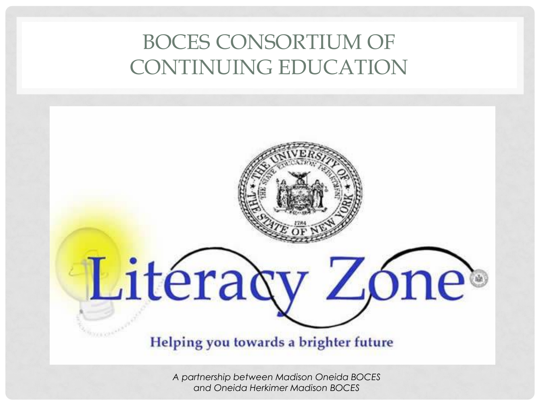#### BOCES CONSORTIUM OF CONTINUING EDUCATION

# Litéracy Zóne®

Helping you towards a brighter future

*A partnership between Madison Oneida BOCES and Oneida Herkimer Madison BOCES*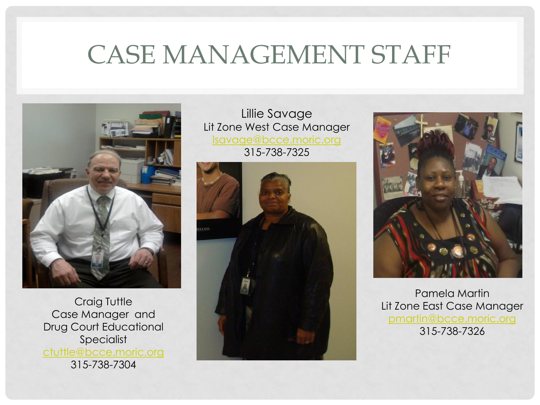### CASE MANAGEMENT STAFF



Craig Tuttle Case Manager and Drug Court Educational Specialist [ctuttle@bcce.moric.org](mailto:ctuttle@bcce.moric.org) 315-738-7304

Lillie Savage Lit Zone West Case Manager [lsavage@bcce.moric.org](mailto:lsavage@bcce.moric.org) 315-738-7325





Pamela Martin Lit Zone East Case Manager [pmartin@bcce.moric.org](mailto:pmartin@bcce.moric.org) 315-738-7326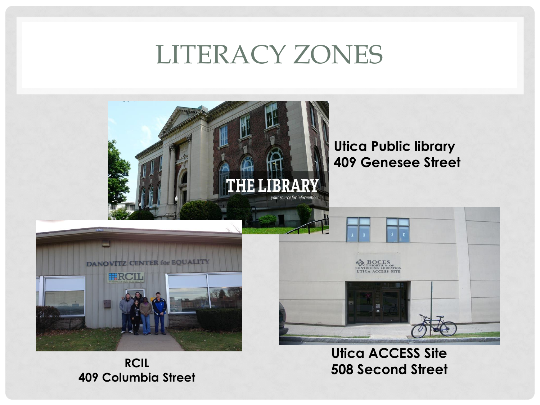### LITERACY ZONES



**RCIL 409 Columbia Street**

**Utica ACCESS Site 508 Second Street**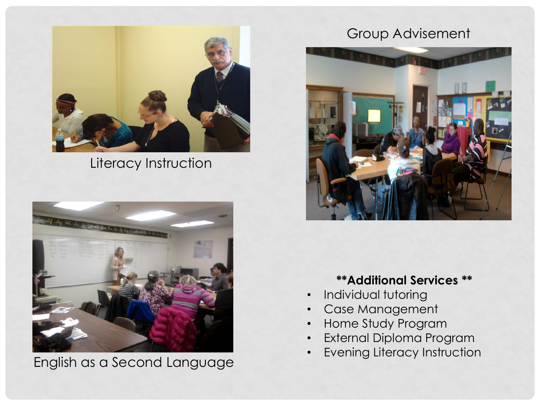

Literacy Instruction



English as a Second Language

#### Group Advisement



#### **\*\*Additional Services \*\***

- Individual tutoring
- Case Management
- Home Study Program
- External Diploma Program
- **Evening Literacy Instruction**